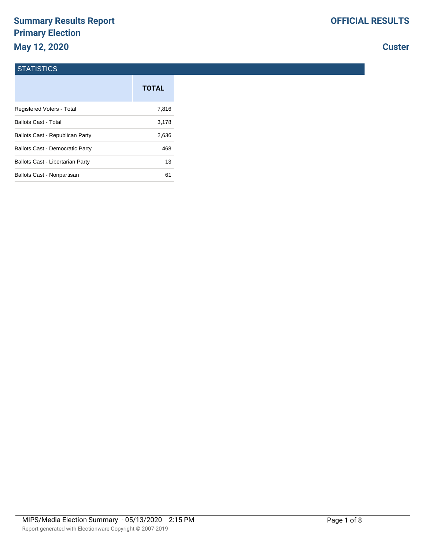# **Summary Results Report Primary Election May 12, 2020**

# **Custer**

#### **STATISTICS**

|                                         | <b>TOTAL</b> |
|-----------------------------------------|--------------|
| Registered Voters - Total               | 7,816        |
| <b>Ballots Cast - Total</b>             | 3,178        |
| Ballots Cast - Republican Party         | 2,636        |
| <b>Ballots Cast - Democratic Party</b>  | 468          |
| <b>Ballots Cast - Libertarian Party</b> | 13           |
| Ballots Cast - Nonpartisan              | 61           |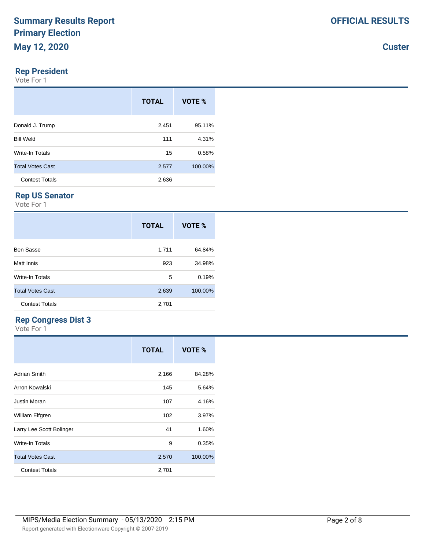#### **Rep President**

Vote For 1

|                         | <b>TOTAL</b> | VOTE %  |
|-------------------------|--------------|---------|
| Donald J. Trump         | 2,451        | 95.11%  |
| <b>Bill Weld</b>        | 111          | 4.31%   |
| Write-In Totals         | 15           | 0.58%   |
| <b>Total Votes Cast</b> | 2,577        | 100.00% |
| <b>Contest Totals</b>   | 2,636        |         |

#### **Rep US Senator**

Vote For 1

|                         | <b>TOTAL</b> | VOTE %  |
|-------------------------|--------------|---------|
| Ben Sasse               | 1,711        | 64.84%  |
| Matt Innis              | 923          | 34.98%  |
| Write-In Totals         | 5            | 0.19%   |
| <b>Total Votes Cast</b> | 2,639        | 100.00% |
| <b>Contest Totals</b>   | 2,701        |         |

#### **Rep Congress Dist 3**

|                          | <b>TOTAL</b> | VOTE %  |
|--------------------------|--------------|---------|
| Adrian Smith             | 2,166        | 84.28%  |
| Arron Kowalski           | 145          | 5.64%   |
| <b>Justin Moran</b>      | 107          | 4.16%   |
| William Elfgren          | 102          | 3.97%   |
| Larry Lee Scott Bolinger | 41           | 1.60%   |
| Write-In Totals          | 9            | 0.35%   |
| <b>Total Votes Cast</b>  | 2,570        | 100.00% |
| <b>Contest Totals</b>    | 2,701        |         |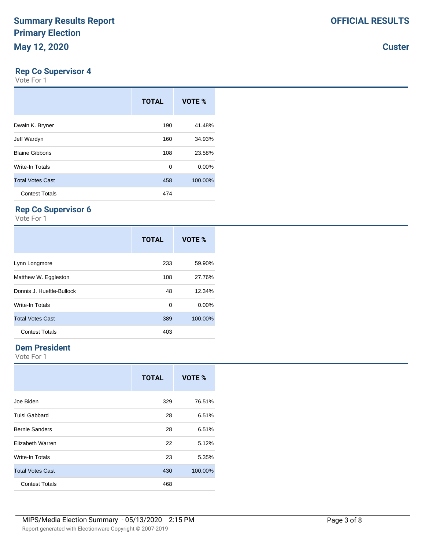### **Rep Co Supervisor 4**

Vote For 1

|                         | <b>TOTAL</b> | VOTE %   |
|-------------------------|--------------|----------|
| Dwain K. Bryner         | 190          | 41.48%   |
| Jeff Wardyn             | 160          | 34.93%   |
| <b>Blaine Gibbons</b>   | 108          | 23.58%   |
| <b>Write-In Totals</b>  | 0            | $0.00\%$ |
| <b>Total Votes Cast</b> | 458          | 100.00%  |
| <b>Contest Totals</b>   | 474          |          |

### **Rep Co Supervisor 6**

Vote For 1

|                           | <b>TOTAL</b> | VOTE %  |
|---------------------------|--------------|---------|
| Lynn Longmore             | 233          | 59.90%  |
| Matthew W. Eggleston      | 108          | 27.76%  |
| Donnis J. Hueftle-Bullock | 48           | 12.34%  |
| Write-In Totals           | 0            | 0.00%   |
| <b>Total Votes Cast</b>   | 389          | 100.00% |
| <b>Contest Totals</b>     | 403          |         |

#### **Dem President**

|                         | <b>TOTAL</b> | VOTE %  |
|-------------------------|--------------|---------|
| Joe Biden               | 329          | 76.51%  |
| <b>Tulsi Gabbard</b>    | 28           | 6.51%   |
| <b>Bernie Sanders</b>   | 28           | 6.51%   |
| Elizabeth Warren        | 22           | 5.12%   |
| <b>Write-In Totals</b>  | 23           | 5.35%   |
| <b>Total Votes Cast</b> | 430          | 100.00% |
| <b>Contest Totals</b>   | 468          |         |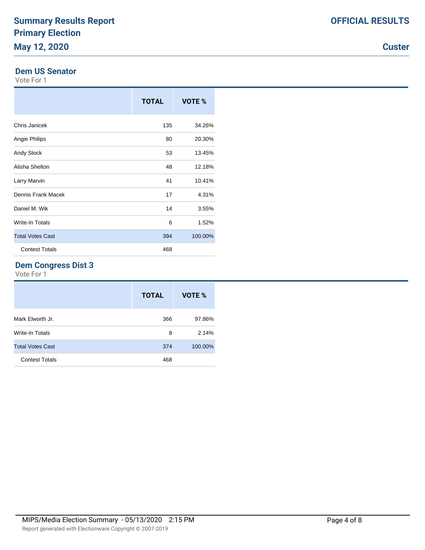#### **Dem US Senator**

Vote For 1

|                         | <b>TOTAL</b> | VOTE %  |
|-------------------------|--------------|---------|
| Chris Janicek           | 135          | 34.26%  |
| Angie Philips           | 80           | 20.30%  |
| Andy Stock              | 53           | 13.45%  |
| Alisha Shelton          | 48           | 12.18%  |
| Larry Marvin            | 41           | 10.41%  |
| Dennis Frank Macek      | 17           | 4.31%   |
| Daniel M. Wik           | 14           | 3.55%   |
| Write-In Totals         | 6            | 1.52%   |
| <b>Total Votes Cast</b> | 394          | 100.00% |
| <b>Contest Totals</b>   | 468          |         |

### **Dem Congress Dist 3**

|                         | <b>TOTAL</b> | VOTE %  |
|-------------------------|--------------|---------|
| Mark Elworth Jr.        | 366          | 97.86%  |
| <b>Write-In Totals</b>  | 8            | 2.14%   |
| <b>Total Votes Cast</b> | 374          | 100.00% |
| <b>Contest Totals</b>   | 468          |         |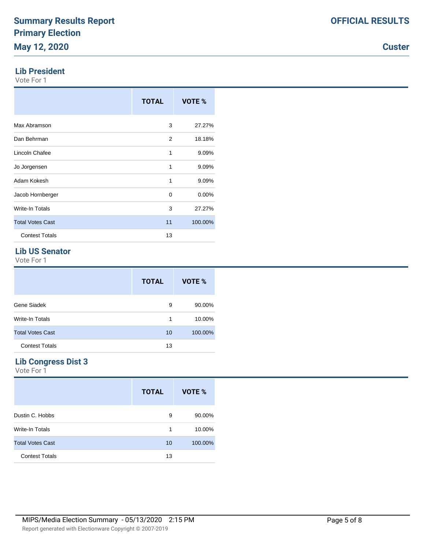#### **Lib President**

Vote For 1

|                         | <b>TOTAL</b> | VOTE %  |
|-------------------------|--------------|---------|
| Max Abramson            | 3            | 27.27%  |
| Dan Behrman             | 2            | 18.18%  |
| Lincoln Chafee          | 1            | 9.09%   |
| Jo Jorgensen            | 1            | 9.09%   |
| Adam Kokesh             | 1            | 9.09%   |
| Jacob Hornberger        | 0            | 0.00%   |
| Write-In Totals         | 3            | 27.27%  |
| <b>Total Votes Cast</b> | 11           | 100.00% |
| <b>Contest Totals</b>   | 13           |         |

#### **Lib US Senator**

Vote For 1

|                         | <b>TOTAL</b> | VOTE %  |
|-------------------------|--------------|---------|
| Gene Siadek             | 9            | 90.00%  |
| Write-In Totals         | 1            | 10.00%  |
| <b>Total Votes Cast</b> | 10           | 100.00% |
| <b>Contest Totals</b>   | 13           |         |

# **Lib Congress Dist 3**

|                         | <b>TOTAL</b> | VOTE %  |
|-------------------------|--------------|---------|
| Dustin C. Hobbs         | 9            | 90.00%  |
| <b>Write-In Totals</b>  | 1            | 10.00%  |
| <b>Total Votes Cast</b> | 10           | 100.00% |
| <b>Contest Totals</b>   | 13           |         |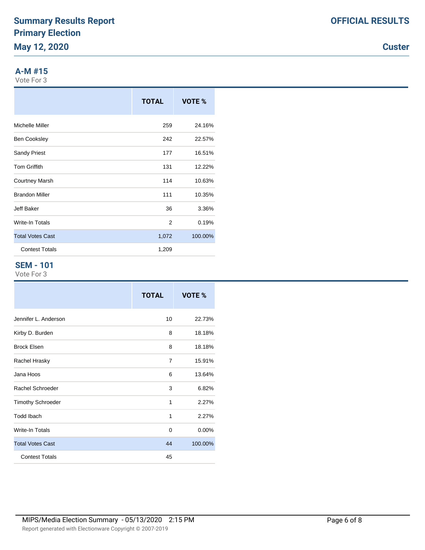### **A-M #15**

Vote For 3

|                         | <b>TOTAL</b> | VOTE %  |
|-------------------------|--------------|---------|
| Michelle Miller         | 259          | 24.16%  |
| <b>Ben Cooksley</b>     | 242          | 22.57%  |
| <b>Sandy Priest</b>     | 177          | 16.51%  |
| <b>Tom Griffith</b>     | 131          | 12.22%  |
| <b>Courtney Marsh</b>   | 114          | 10.63%  |
| <b>Brandon Miller</b>   | 111          | 10.35%  |
| Jeff Baker              | 36           | 3.36%   |
| Write-In Totals         | 2            | 0.19%   |
| <b>Total Votes Cast</b> | 1,072        | 100.00% |
| <b>Contest Totals</b>   | 1,209        |         |

### **SEM - 101**

|                          | <b>TOTAL</b> | VOTE %  |
|--------------------------|--------------|---------|
| Jennifer L. Anderson     | 10           | 22.73%  |
| Kirby D. Burden          | 8            | 18.18%  |
| <b>Brock Elsen</b>       | 8            | 18.18%  |
| Rachel Hrasky            | 7            | 15.91%  |
| Jana Hoos                | 6            | 13.64%  |
| Rachel Schroeder         | 3            | 6.82%   |
| <b>Timothy Schroeder</b> | 1            | 2.27%   |
| <b>Todd Ibach</b>        | 1            | 2.27%   |
| <b>Write-In Totals</b>   | $\Omega$     | 0.00%   |
| <b>Total Votes Cast</b>  | 44           | 100.00% |
| <b>Contest Totals</b>    | 45           |         |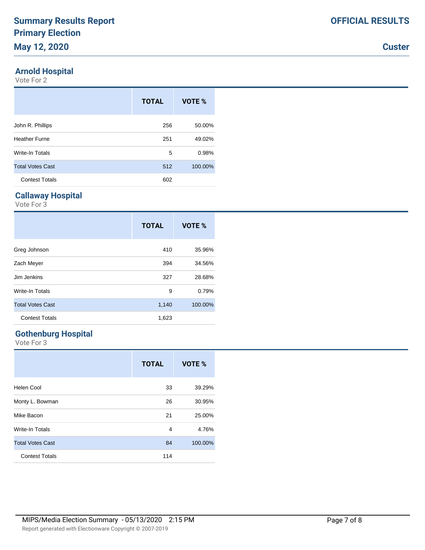# **Arnold Hospital**

Vote For 2

|                         | <b>TOTAL</b> | VOTE %  |
|-------------------------|--------------|---------|
| John R. Phillips        | 256          | 50.00%  |
| <b>Heather Furne</b>    | 251          | 49.02%  |
| Write-In Totals         | 5            | 0.98%   |
| <b>Total Votes Cast</b> | 512          | 100.00% |
| <b>Contest Totals</b>   | 602          |         |

# **Callaway Hospital**

Vote For 3

|                         | <b>TOTAL</b> | VOTE %  |
|-------------------------|--------------|---------|
| Greg Johnson            | 410          | 35.96%  |
| Zach Meyer              | 394          | 34.56%  |
| Jim Jenkins             | 327          | 28.68%  |
| Write-In Totals         | 9            | 0.79%   |
| <b>Total Votes Cast</b> | 1,140        | 100.00% |
| <b>Contest Totals</b>   | 1,623        |         |

# **Gothenburg Hospital**

|                         | <b>TOTAL</b> | VOTE %  |
|-------------------------|--------------|---------|
| Helen Cool              | 33           | 39.29%  |
| Monty L. Bowman         | 26           | 30.95%  |
| Mike Bacon              | 21           | 25.00%  |
| Write-In Totals         | 4            | 4.76%   |
| <b>Total Votes Cast</b> | 84           | 100.00% |
| <b>Contest Totals</b>   | 114          |         |